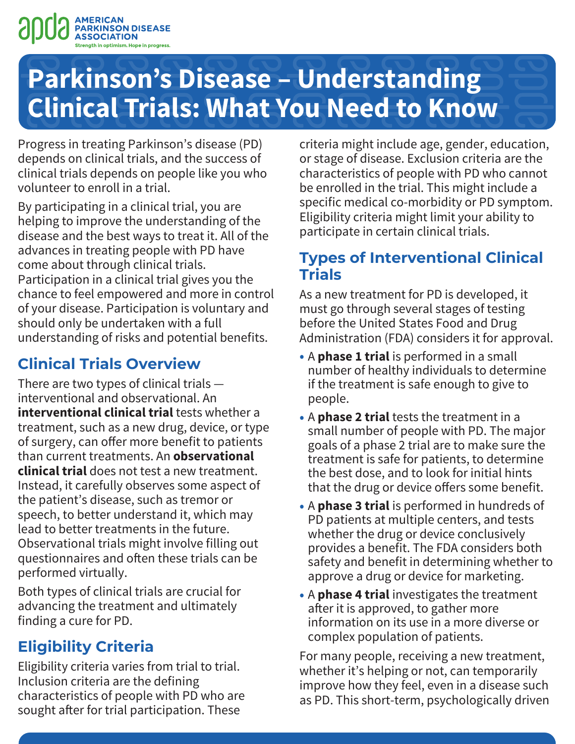

Progress in treating Parkinson's disease (PD) depends on clinical trials, and the success of clinical trials depends on people like you who volunteer to enroll in a trial.

By participating in a clinical trial, you are helping to improve the understanding of the disease and the best ways to treat it. All of the advances in treating people with PD have come about through clinical trials. Participation in a clinical trial gives you the chance to feel empowered and more in control of your disease. Participation is voluntary and should only be undertaken with a full understanding of risks and potential benefits.

# **Clinical Trials Overview**

There are two types of clinical trials interventional and observational. An **interventional clinical trial** tests whether a treatment, such as a new drug, device, or type of surgery, can offer more benefit to patients than current treatments. An **observational clinical trial** does not test a new treatment. Instead, it carefully observes some aspect of the patient's disease, such as tremor or speech, to better understand it, which may lead to better treatments in the future. Observational trials might involve filling out questionnaires and often these trials can be performed virtually.

Both types of clinical trials are crucial for advancing the treatment and ultimately finding a cure for PD.

# **Eligibility Criteria**

Eligibility criteria varies from trial to trial. Inclusion criteria are the defining characteristics of people with PD who are sought after for trial participation. These

criteria might include age, gender, education, or stage of disease. Exclusion criteria are the characteristics of people with PD who cannot be enrolled in the trial. This might include a specific medical co-morbidity or PD symptom. Eligibility criteria might limit your ability to participate in certain clinical trials.

# **Types of Interventional Clinical Trials**

As a new treatment for PD is developed, it must go through several stages of testing before the United States Food and Drug Administration (FDA) considers it for approval.

- A **phase 1 trial** is performed in a small number of healthy individuals to determine if the treatment is safe enough to give to people.
- A **phase 2 trial** tests the treatment in a small number of people with PD. The major goals of a phase 2 trial are to make sure the treatment is safe for patients, to determine the best dose, and to look for initial hints that the drug or device offers some benefit.
- A **phase 3 trial** is performed in hundreds of PD patients at multiple centers, and tests whether the drug or device conclusively provides a benefit. The FDA considers both safety and benefit in determining whether to approve a drug or device for marketing.
- A **phase 4 trial** investigates the treatment after it is approved, to gather more information on its use in a more diverse or complex population of patients.

For many people, receiving a new treatment, whether it's helping or not, can temporarily improve how they feel, even in a disease such as PD. This short-term, psychologically driven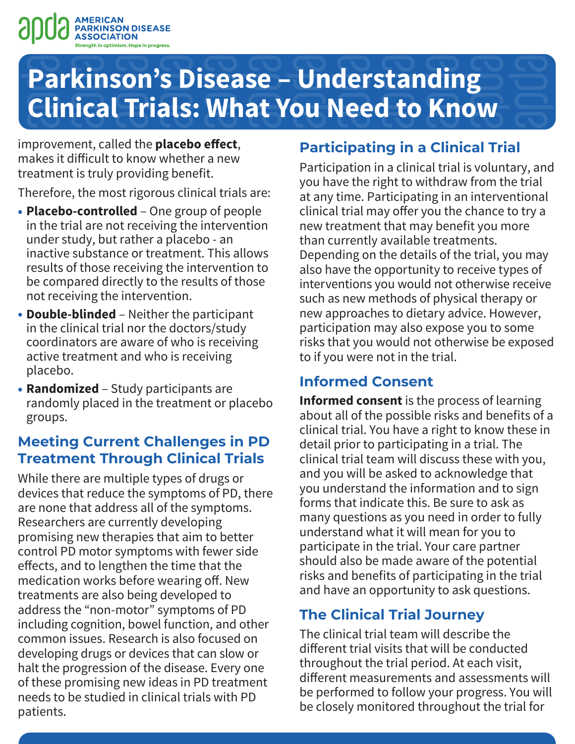

improvement, called the **placebo effect**, makes it difficult to know whether a new treatment is truly providing benefit.

Therefore, the most rigorous clinical trials are:

- **Placebo-controlled** One group of people in the trial are not receiving the intervention under study, but rather a placebo - an inactive substance or treatment. This allows results of those receiving the intervention to be compared directly to the results of those not receiving the intervention.
- **Double-blinded** ‒ Neither the participant in the clinical trial nor the doctors/study coordinators are aware of who is receiving active treatment and who is receiving placebo.
- **Randomized** ‒ Study participants are randomly placed in the treatment or placebo groups.

## **Meeting Current Challenges in PD Treatment Through Clinical Trials**

While there are multiple types of drugs or devices that reduce the symptoms of PD, there are none that address all of the symptoms. Researchers are currently developing promising new therapies that aim to better control PD motor symptoms with fewer side effects, and to lengthen the time that the medication works before wearing off. New treatments are also being developed to address the "non-motor" symptoms of PD including cognition, bowel function, and other common issues. Research is also focused on developing drugs or devices that can slow or halt the progression of the disease. Every one of these promising new ideas in PD treatment needs to be studied in clinical trials with PD patients.

# **Participating in a Clinical Trial**

Participation in a clinical trial is voluntary, and you have the right to withdraw from the trial at any time. Participating in an interventional clinical trial may offer you the chance to try a new treatment that may benefit you more than currently available treatments. Depending on the details of the trial, you may also have the opportunity to receive types of interventions you would not otherwise receive such as new methods of physical therapy or new approaches to dietary advice. However, participation may also expose you to some risks that you would not otherwise be exposed to if you were not in the trial.

### **Informed Consent**

**Informed consent** is the process of learning about all of the possible risks and benefits of a clinical trial. You have a right to know these in detail prior to participating in a trial. The clinical trial team will discuss these with you, and you will be asked to acknowledge that you understand the information and to sign forms that indicate this. Be sure to ask as many questions as you need in order to fully understand what it will mean for you to participate in the trial. Your care partner should also be made aware of the potential risks and benefits of participating in the trial and have an opportunity to ask questions.

# **The Clinical Trial Journey**

The clinical trial team will describe the different trial visits that will be conducted throughout the trial period. At each visit, different measurements and assessments will be performed to follow your progress. You will be closely monitored throughout the trial for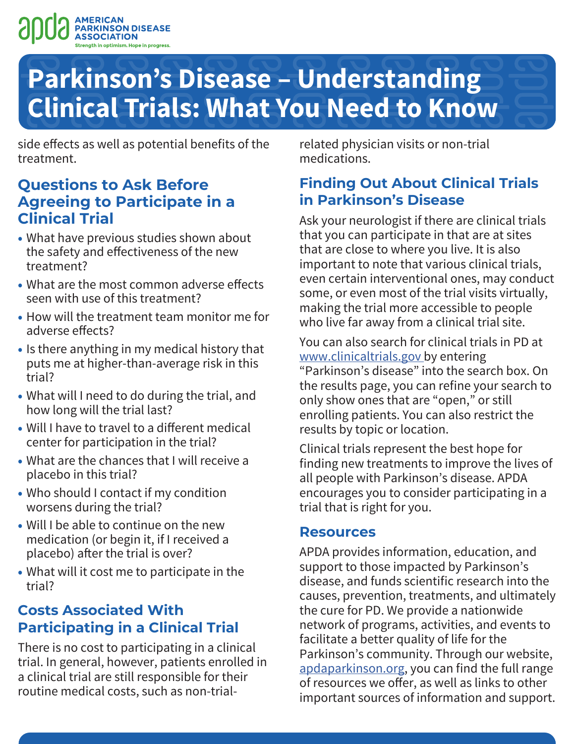

side effects as well as potential benefits of the treatment.

#### **Questions to Ask Before Agreeing to Participate in a Clinical Trial**

- What have previous studies shown about the safety and effectiveness of the new treatment?
- What are the most common adverse effects seen with use of this treatment?
- How will the treatment team monitor me for adverse effects?
- Is there anything in my medical history that puts me at higher-than-average risk in this trial?
- What will I need to do during the trial, and how long will the trial last?
- Will I have to travel to a different medical center for participation in the trial?
- What are the chances that I will receive a placebo in this trial?
- Who should I contact if my condition worsens during the trial?
- Will I be able to continue on the new medication (or begin it, if I received a placebo) after the trial is over?
- What will it cost me to participate in the trial?

### **Costs Associated With Participating in a Clinical Trial**

There is no cost to participating in a clinical trial. In general, however, patients enrolled in a clinical trial are still responsible for their routine medical costs, such as non-trialrelated physician visits or non-trial medications.

### **Finding Out About Clinical Trials in Parkinson's Disease**

Ask your neurologist if there are clinical trials that you can participate in that are at sites that are close to where you live. It is also important to note that various clinical trials, even certain interventional ones, may conduct some, or even most of the trial visits virtually, making the trial more accessible to people who live far away from a clinical trial site.

You can also search for clinical trials in PD at [www.clinicaltrials.gov](http://www.clinicaltrials.gov) by entering "Parkinson's disease" into the search box. On the results page, you can refine your search to only show ones that are "open," or still enrolling patients. You can also restrict the results by topic or location.

Clinical trials represent the best hope for finding new treatments to improve the lives of all people with Parkinson's disease. APDA encourages you to consider participating in a trial that is right for you.

#### **Resources**

APDA provides information, education, and support to those impacted by Parkinson's disease, and funds scientific research into the causes, prevention, treatments, and ultimately the cure for PD. We provide a nationwide network of programs, activities, and events to facilitate a better quality of life for the Parkinson's community. Through our website, [apdaparkinson.org](http://apdaparkinson.org), you can find the full range of resources we offer, as well as links to other important sources of information and support.